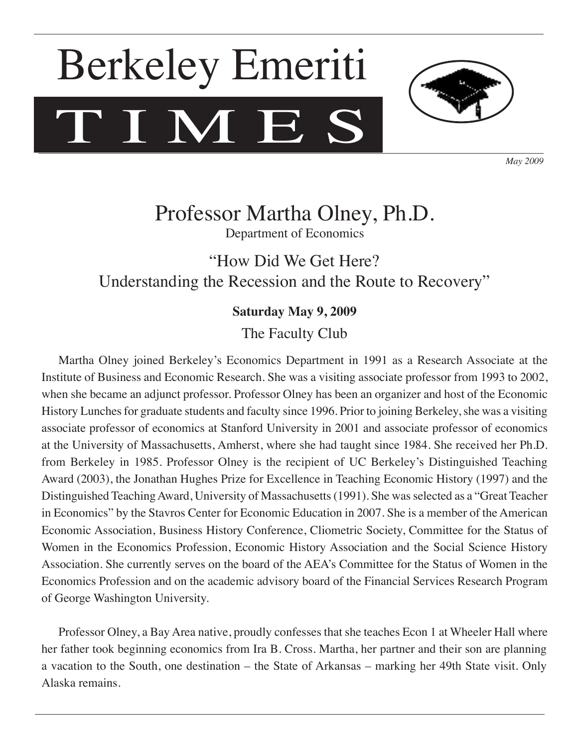# T I M E S Berkeley Emeriti



*May 2009*

# Professor Martha Olney, Ph.D.

Department of Economics

## "How Did We Get Here? Understanding the Recession and the Route to Recovery"

## **Saturday May 9, 2009**

The Faculty Club

Martha Olney joined Berkeley's Economics Department in 1991 as a Research Associate at the Institute of Business and Economic Research. She was a visiting associate professor from 1993 to 2002, when she became an adjunct professor. Professor Olney has been an organizer and host of the Economic History Lunches for graduate students and faculty since 1996. Prior to joining Berkeley, she was a visiting associate professor of economics at Stanford University in 2001 and associate professor of economics at the University of Massachusetts, Amherst, where she had taught since 1984. She received her Ph.D. from Berkeley in 1985. Professor Olney is the recipient of UC Berkeley's Distinguished Teaching Award (2003), the Jonathan Hughes Prize for Excellence in Teaching Economic History (1997) and the Distinguished Teaching Award, University of Massachusetts (1991). She was selected as a "Great Teacher in Economics" by the Stavros Center for Economic Education in 2007. She is a member of the American Economic Association, Business History Conference, Cliometric Society, Committee for the Status of Women in the Economics Profession, Economic History Association and the Social Science History Association. She currently serves on the board of the AEA's Committee for the Status of Women in the Economics Profession and on the academic advisory board of the Financial Services Research Program of George Washington University.

Professor Olney, a Bay Area native, proudly confesses that she teaches Econ 1 at Wheeler Hall where her father took beginning economics from Ira B. Cross. Martha, her partner and their son are planning a vacation to the South, one destination – the State of Arkansas – marking her 49th State visit. Only Alaska remains.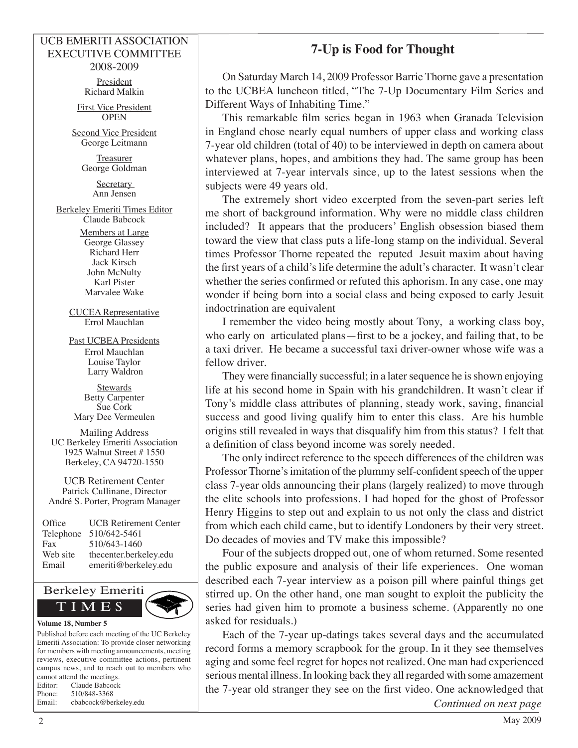#### UCB EMERITI ASSOCIATION EXECUTIVE COMMITTEE 2008-2009

President Richard Malkin

First Vice President **OPEN** 

Second Vice President George Leitmann

> **Treasurer** George Goldman

> > **Secretary**

Berkeley Emeriti Times Editor Claude Babcock

> Members at Large George Glassey Richard Herr Jack Kirsch John McNulty Karl Pister Marvalee Wake

Errol Mauchlan

Past UCBEA Presidents Errol Mauchlan Louise Taylor Larry Waldron

**Stewards** Betty Carpenter Sue Cork Mary Dee Vermeulen

Mailing Address UC Berkeley Emeriti Association 1925 Walnut Street # 1550 Berkeley, CA 94720-1550

UCB Retirement Center Patrick Cullinane, Director André S. Porter, Program Manager

| Office    | <b>UCB</b> Retirement Center |
|-----------|------------------------------|
| Telephone | 510/642-5461                 |
| Fax       | 510/643-1460                 |
| Web site  | thecenter.berkeley.edu       |
| Email     | emeriti@berkeley.edu         |



Published before each meeting of the UC Berkeley Emeriti Association: To provide closer networking for members with meeting announcements, meeting reviews, executive committee actions, pertinent campus news, and to reach out to members who cannot attend the meetings. Editor: Claude Babcock Phone: 510/848-3368 Email: cbabcock@berkeley.edu

#### 7-year old children (total of 40) to be interviewed in depth on camera about whatever plans, hopes, and ambitions they had. The same group has been

Ann Jensen

CUCEA Representative

Professor Thorne's imitation of the plummy self-confident speech of the upper class 7-year olds announcing their plans (largely realized) to move through

the elite schools into professions. I had hoped for the ghost of Professor Henry Higgins to step out and explain to us not only the class and district from which each child came, but to identify Londoners by their very street. Do decades of movies and TV make this impossible?

Four of the subjects dropped out, one of whom returned. Some resented the public exposure and analysis of their life experiences. One woman described each 7-year interview as a poison pill where painful things get stirred up. On the other hand, one man sought to exploit the publicity the series had given him to promote a business scheme. (Apparently no one asked for residuals.)

Each of the 7-year up-datings takes several days and the accumulated record forms a memory scrapbook for the group. In it they see themselves aging and some feel regret for hopes not realized. One man had experienced serious mental illness. In looking back they all regarded with some amazement the 7-year old stranger they see on the first video. One acknowledged that

*Continued on next page*

### **7-Up is Food for Thought**

On Saturday March 14, 2009 Professor Barrie Thorne gave a presentation to the UCBEA luncheon titled, "The 7-Up Documentary Film Series and

This remarkable film series began in 1963 when Granada Television in England chose nearly equal numbers of upper class and working class

interviewed at 7-year intervals since, up to the latest sessions when the

The extremely short video excerpted from the seven-part series left me short of background information. Why were no middle class children included? It appears that the producers' English obsession biased them toward the view that class puts a life-long stamp on the individual. Several times Professor Thorne repeated the reputed Jesuit maxim about having the first years of a child's life determine the adult's character. It wasn't clear whether the series confirmed or refuted this aphorism. In any case, one may wonder if being born into a social class and being exposed to early Jesuit

I remember the video being mostly about Tony, a working class boy, who early on articulated plans—first to be a jockey, and failing that, to be a taxi driver. He became a successful taxi driver-owner whose wife was a

They were financially successful; in a later sequence he is shown enjoying life at his second home in Spain with his grandchildren. It wasn't clear if Tony's middle class attributes of planning, steady work, saving, financial success and good living qualify him to enter this class. Are his humble origins still revealed in ways that disqualify him from this status? I felt that

The only indirect reference to the speech differences of the children was

a definition of class beyond income was sorely needed.

Different Ways of Inhabiting Time."

subjects were 49 years old.

indoctrination are equivalent

fellow driver.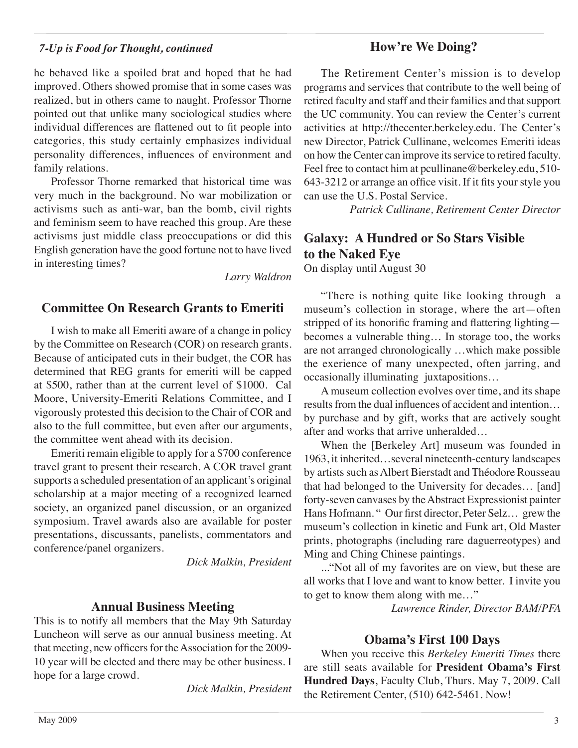#### *7-Up is Food for Thought, continued*

#### **How're We Doing?**

he behaved like a spoiled brat and hoped that he had improved. Others showed promise that in some cases was realized, but in others came to naught. Professor Thorne pointed out that unlike many sociological studies where individual differences are flattened out to fit people into categories, this study certainly emphasizes individual personality differences, influences of environment and family relations.

Professor Thorne remarked that historical time was very much in the background. No war mobilization or activisms such as anti-war, ban the bomb, civil rights and feminism seem to have reached this group. Are these activisms just middle class preoccupations or did this English generation have the good fortune not to have lived in interesting times?

*Larry Waldron*

#### **Committee On Research Grants to Emeriti**

I wish to make all Emeriti aware of a change in policy by the Committee on Research (COR) on research grants. Because of anticipated cuts in their budget, the COR has determined that REG grants for emeriti will be capped at \$500, rather than at the current level of \$1000. Cal Moore, University-Emeriti Relations Committee, and I vigorously protested this decision to the Chair of COR and also to the full committee, but even after our arguments, the committee went ahead with its decision.

Emeriti remain eligible to apply for a \$700 conference travel grant to present their research. A COR travel grant supports a scheduled presentation of an applicant's original scholarship at a major meeting of a recognized learned society, an organized panel discussion, or an organized symposium. Travel awards also are available for poster presentations, discussants, panelists, commentators and conference/panel organizers.

*Dick Malkin, President* 

#### **Annual Business Meeting**

This is to notify all members that the May 9th Saturday Luncheon will serve as our annual business meeting. At that meeting, new officers for the Association for the 2009- 10 year will be elected and there may be other business. I hope for a large crowd.

*Dick Malkin, President*

The Retirement Center's mission is to develop programs and services that contribute to the well being of retired faculty and staff and their families and that support the UC community. You can review the Center's current activities at http://thecenter.berkeley.edu. The Center's new Director, Patrick Cullinane, welcomes Emeriti ideas on how the Center can improve its service to retired faculty. Feel free to contact him at pcullinane@berkeley.edu, 510- 643-3212 or arrange an office visit. If it fits your style you can use the U.S. Postal Service.

*Patrick Cullinane, Retirement Center Director*

#### **Galaxy: A Hundred or So Stars Visible to the Naked Eye**

On display until August 30

"There is nothing quite like looking through a museum's collection in storage, where the art—often stripped of its honorific framing and flattering lighting becomes a vulnerable thing… In storage too, the works are not arranged chronologically …which make possible the exerience of many unexpected, often jarring, and occasionally illuminating juxtapositions…

A museum collection evolves over time, and its shape results from the dual influences of accident and intention… by purchase and by gift, works that are actively sought after and works that arrive unheralded…

When the [Berkeley Art] museum was founded in 1963, it inherited…several nineteenth-century landscapes by artists such as Albert Bierstadt and Théodore Rousseau that had belonged to the University for decades… [and] forty-seven canvases by the Abstract Expressionist painter Hans Hofmann. " Our first director, Peter Selz… grew the museum's collection in kinetic and Funk art, Old Master prints, photographs (including rare daguerreotypes) and Ming and Ching Chinese paintings.

..."Not all of my favorites are on view, but these are all works that I love and want to know better. I invite you to get to know them along with me…"

*Lawrence Rinder, Director BAM/PFA*

#### **Obama's First 100 Days**

When you receive this *Berkeley Emeriti Times* there are still seats available for **President Obama's First Hundred Days**, Faculty Club, Thurs. May 7, 2009. Call the Retirement Center, (510) 642-5461. Now!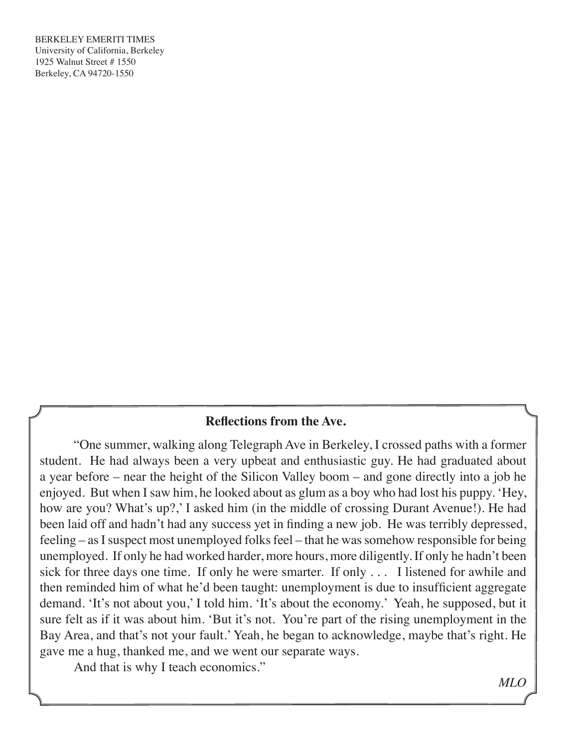#### BERKELEY EMERITI TIMES

University of California, Berkeley 1925 Walnut Street # 1550 Berkeley, CA 94720-1550

#### **Reflections from the Ave.**

"One summer, walking along Telegraph Ave in Berkeley, I crossed paths with a former student. He had always been a very upbeat and enthusiastic guy. He had graduated about a year before – near the height of the Silicon Valley boom – and gone directly into a job he enjoyed. But when I saw him, he looked about as glum as a boy who had lost his puppy. 'Hey, how are you? What's up?,' I asked him (in the middle of crossing Durant Avenue!). He had been laid off and hadn't had any success yet in finding a new job. He was terribly depressed, feeling – as I suspect most unemployed folks feel – that he was somehow responsible for being unemployed. If only he had worked harder, more hours, more diligently. If only he hadn't been sick for three days one time. If only he were smarter. If only . . . I listened for awhile and then reminded him of what he'd been taught: unemployment is due to insufficient aggregate demand. 'It's not about you,' I told him. 'It's about the economy.' Yeah, he supposed, but it sure felt as if it was about him. 'But it's not. You're part of the rising unemployment in the Bay Area, and that's not your fault.' Yeah, he began to acknowledge, maybe that's right. He gave me a hug, thanked me, and we went our separate ways.

And that is why I teach economics."

*MLO*